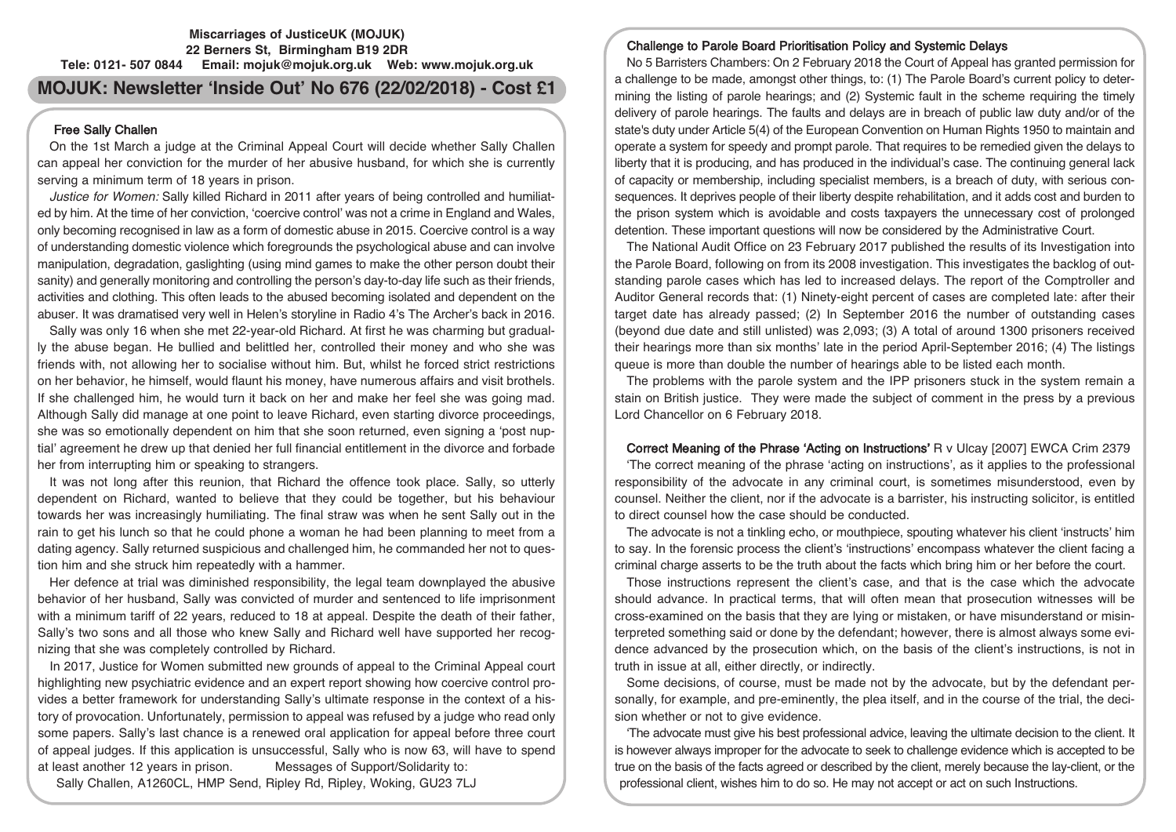## **Miscarriages of JusticeUK (MOJUK) 22 Berners St, Birmingham B19 2DR Tele: 0121- 507 0844 Email: mojuk@mojuk.org.uk Web: www.mojuk.org.uk**

# **MOJUK: Newsletter 'Inside Out' No 676 (22/02/2018) - Cost £1**

# Free Sally Challen

On the 1st March a judge at the Criminal Appeal Court will decide whether Sally Challen can appeal her conviction for the murder of her abusive husband, for which she is currently serving a minimum term of 18 years in prison.

Justice for Women: Sally killed Richard in 2011 after years of being controlled and humiliated by him. At the time of her conviction, 'coercive control' was not a crime in England and Wales, only becoming recognised in law as a form of domestic abuse in 2015. Coercive control is a way of understanding domestic violence which foregrounds the psychological abuse and can involve manipulation, degradation, gaslighting (using mind games to make the other person doubt their sanity) and generally monitoring and controlling the person's day-to-day life such as their friends, activities and clothing. This often leads to the abused becoming isolated and dependent on the abuser. It was dramatised very well in Helen's storyline in Radio 4's The Archer's back in 2016.

Sally was only 16 when she met 22-year-old Richard. At first he was charming but gradually the abuse began. He bullied and belittled her, controlled their money and who she was friends with, not allowing her to socialise without him. But, whilst he forced strict restrictions on her behavior, he himself, would flaunt his money, have numerous affairs and visit brothels. If she challenged him, he would turn it back on her and make her feel she was going mad. Although Sally did manage at one point to leave Richard, even starting divorce proceedings, she was so emotionally dependent on him that she soon returned, even signing a 'post nuptial' agreement he drew up that denied her full financial entitlement in the divorce and forbade her from interrupting him or speaking to strangers.

It was not long after this reunion, that Richard the offence took place. Sally, so utterly dependent on Richard, wanted to believe that they could be together, but his behaviour towards her was increasingly humiliating. The final straw was when he sent Sally out in the rain to get his lunch so that he could phone a woman he had been planning to meet from a dating agency. Sally returned suspicious and challenged him, he commanded her not to question him and she struck him repeatedly with a hammer.

Her defence at trial was diminished responsibility, the legal team downplayed the abusive behavior of her husband, Sally was convicted of murder and sentenced to life imprisonment with a minimum tariff of 22 years, reduced to 18 at appeal. Despite the death of their father, Sally's two sons and all those who knew Sally and Richard well have supported her recognizing that she was completely controlled by Richard.

In 2017, Justice for Women submitted new grounds of appeal to the Criminal Appeal court highlighting new psychiatric evidence and an expert report showing how coercive control provides a better framework for understanding Sally's ultimate response in the context of a history of provocation. Unfortunately, permission to appeal was refused by a judge who read only some papers. Sally's last chance is a renewed oral application for appeal before three court of appeal judges. If this application is unsuccessful, Sally who is now 63, will have to spend at least another 12 years in prison. Messages of Support/Solidarity to:

Sally Challen, A1260CL, HMP Send, Ripley Rd, Ripley, Woking, GU23 7LJ

# Challenge to Parole Board Prioritisation Policy and Systemic Delays

No 5 Barristers Chambers: On 2 February 2018 the Court of Appeal has granted permission for a challenge to be made, amongst other things, to: (1) The Parole Board's current policy to determining the listing of parole hearings; and (2) Systemic fault in the scheme requiring the timely delivery of parole hearings. The faults and delays are in breach of public law duty and/or of the state's duty under Article 5(4) of the European Convention on Human Rights 1950 to maintain and operate a system for speedy and prompt parole. That requires to be remedied given the delays to liberty that it is producing, and has produced in the individual's case. The continuing general lack of capacity or membership, including specialist members, is a breach of duty, with serious consequences. It deprives people of their liberty despite rehabilitation, and it adds cost and burden to the prison system which is avoidable and costs taxpayers the unnecessary cost of prolonged detention. These important questions will now be considered by the Administrative Court.

The National Audit Office on 23 February 2017 published the results of its Investigation into the Parole Board, following on from its 2008 investigation. This investigates the backlog of outstanding parole cases which has led to increased delays. The report of the Comptroller and Auditor General records that: (1) Ninety-eight percent of cases are completed late: after their target date has already passed; (2) In September 2016 the number of outstanding cases (beyond due date and still unlisted) was 2,093; (3) A total of around 1300 prisoners received their hearings more than six months' late in the period April-September 2016; (4) The listings queue is more than double the number of hearings able to be listed each month.

The problems with the parole system and the IPP prisoners stuck in the system remain a stain on British justice. They were made the subject of comment in the press by a previous Lord Chancellor on 6 February 2018.

Correct Meaning of the Phrase 'Acting on Instructions' R v Ulcay [2007] EWCA Crim 2379 'The correct meaning of the phrase 'acting on instructions', as it applies to the professional responsibility of the advocate in any criminal court, is sometimes misunderstood, even by counsel. Neither the client, nor if the advocate is a barrister, his instructing solicitor, is entitled to direct counsel how the case should be conducted.

The advocate is not a tinkling echo, or mouthpiece, spouting whatever his client 'instructs' him to say. In the forensic process the client's 'instructions' encompass whatever the client facing a criminal charge asserts to be the truth about the facts which bring him or her before the court.

Those instructions represent the client's case, and that is the case which the advocate should advance. In practical terms, that will often mean that prosecution witnesses will be cross-examined on the basis that they are lying or mistaken, or have misunderstand or misinterpreted something said or done by the defendant; however, there is almost always some evidence advanced by the prosecution which, on the basis of the client's instructions, is not in truth in issue at all, either directly, or indirectly.

Some decisions, of course, must be made not by the advocate, but by the defendant personally, for example, and pre-eminently, the plea itself, and in the course of the trial, the decision whether or not to give evidence.

'The advocate must give his best professional advice, leaving the ultimate decision to the client. It is however always improper for the advocate to seek to challenge evidence which is accepted to be true on the basis of the facts agreed or described by the client, merely because the lay-client, or the professional client, wishes him to do so. He may not accept or act on such Instructions.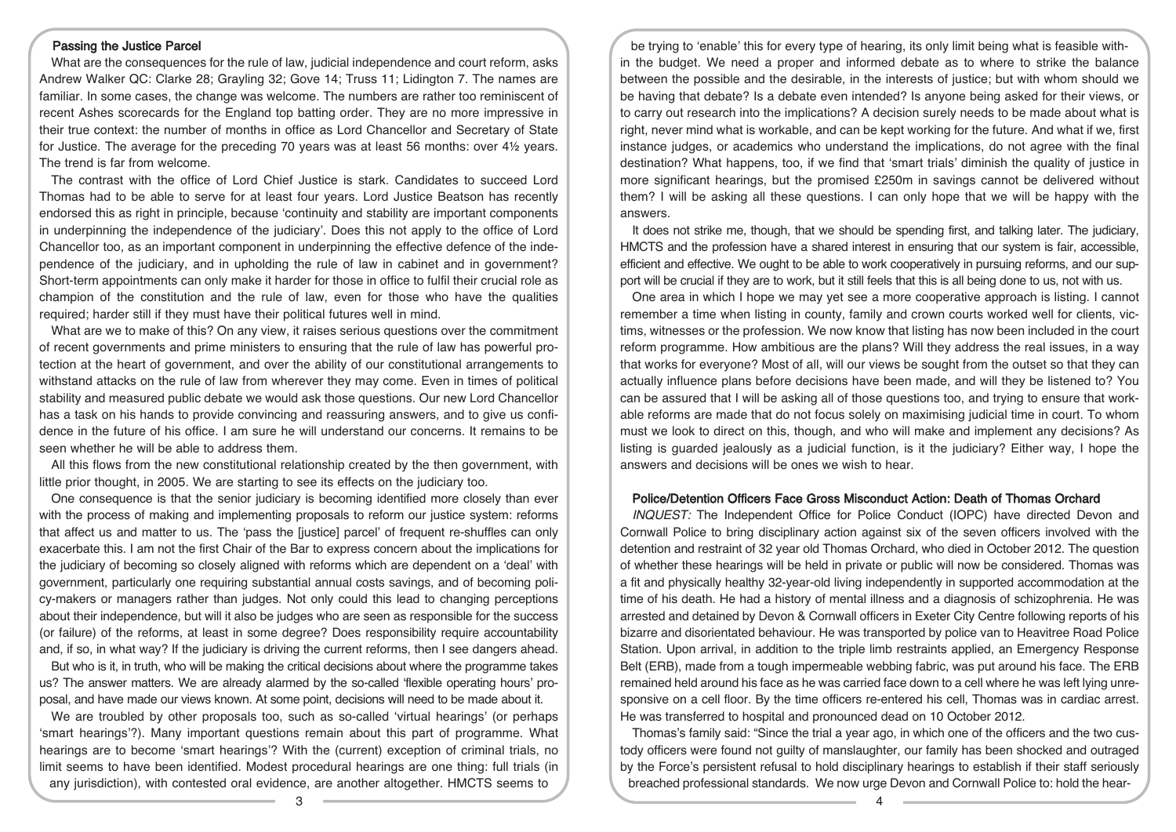### Passing the Justice Parcel

What are the consequences for the rule of law, judicial independence and court reform, asks Andrew Walker QC: Clarke 28; Grayling 32; Gove 14; Truss 11; Lidington 7. The names are familiar. In some cases, the change was welcome. The numbers are rather too reminiscent of recent Ashes scorecards for the England top batting order. They are no more impressive in their true context: the number of months in office as Lord Chancellor and Secretary of State for Justice. The average for the preceding 70 years was at least 56 months: over 4½ years. The trend is far from welcome.

The contrast with the office of Lord Chief Justice is stark. Candidates to succeed Lord Thomas had to be able to serve for at least four years. Lord Justice Beatson has recently endorsed this as right in principle, because 'continuity and stability are important components in underpinning the independence of the judiciary'. Does this not apply to the office of Lord Chancellor too, as an important component in underpinning the effective defence of the independence of the judiciary, and in upholding the rule of law in cabinet and in government? Short-term appointments can only make it harder for those in office to fulfil their crucial role as champion of the constitution and the rule of law, even for those who have the qualities required; harder still if they must have their political futures well in mind.

What are we to make of this? On any view, it raises serious questions over the commitment of recent governments and prime ministers to ensuring that the rule of law has powerful protection at the heart of government, and over the ability of our constitutional arrangements to withstand attacks on the rule of law from wherever they may come. Even in times of political stability and measured public debate we would ask those questions. Our new Lord Chancellor has a task on his hands to provide convincing and reassuring answers, and to give us confidence in the future of his office. I am sure he will understand our concerns. It remains to be seen whether he will be able to address them.

All this flows from the new constitutional relationship created by the then government, with little prior thought, in 2005. We are starting to see its effects on the judiciary too.

One consequence is that the senior judiciary is becoming identified more closely than ever with the process of making and implementing proposals to reform our justice system: reforms that affect us and matter to us. The 'pass the [justice] parcel' of frequent re-shuffles can only exacerbate this. I am not the first Chair of the Bar to express concern about the implications for the judiciary of becoming so closely aligned with reforms which are dependent on a 'deal' with government, particularly one requiring substantial annual costs savings, and of becoming policy-makers or managers rather than judges. Not only could this lead to changing perceptions about their independence, but will it also be judges who are seen as responsible for the success (or failure) of the reforms, at least in some degree? Does responsibility require accountability and, if so, in what way? If the judiciary is driving the current reforms, then I see dangers ahead.

But who is it, in truth, who will be making the critical decisions about where the programme takes us? The answer matters. We are already alarmed by the so-called 'flexible operating hours' proposal, and have made our views known. At some point, decisions will need to be made about it.

We are troubled by other proposals too, such as so-called 'virtual hearings' (or perhaps 'smart hearings'?). Many important questions remain about this part of programme. What hearings are to become 'smart hearings'? With the (current) exception of criminal trials, no limit seems to have been identified. Modest procedural hearings are one thing: full trials (in any jurisdiction), with contested oral evidence, are another altogether. HMCTS seems to

be trying to 'enable' this for every type of hearing, its only limit being what is feasible within the budget. We need a proper and informed debate as to where to strike the balance between the possible and the desirable, in the interests of justice; but with whom should we be having that debate? Is a debate even intended? Is anyone being asked for their views, or to carry out research into the implications? A decision surely needs to be made about what is right, never mind what is workable, and can be kept working for the future. And what if we, first instance judges, or academics who understand the implications, do not agree with the final destination? What happens, too, if we find that 'smart trials' diminish the quality of justice in more significant hearings, but the promised £250m in savings cannot be delivered without them? I will be asking all these questions. I can only hope that we will be happy with the answers.

It does not strike me, though, that we should be spending first, and talking later. The judiciary, HMCTS and the profession have a shared interest in ensuring that our system is fair, accessible, efficient and effective. We ought to be able to work cooperatively in pursuing reforms, and our support will be crucial if they are to work, but it still feels that this is all being done to us, not with us.

One area in which I hope we may yet see a more cooperative approach is listing. I cannot remember a time when listing in county, family and crown courts worked well for clients, victims, witnesses or the profession. We now know that listing has now been included in the court reform programme. How ambitious are the plans? Will they address the real issues, in a way that works for everyone? Most of all, will our views be sought from the outset so that they can actually influence plans before decisions have been made, and will they be listened to? You can be assured that I will be asking all of those questions too, and trying to ensure that workable reforms are made that do not focus solely on maximising judicial time in court. To whom must we look to direct on this, though, and who will make and implement any decisions? As listing is guarded jealously as a judicial function, is it the judiciary? Either way, I hope the answers and decisions will be ones we wish to hear.

## Police/Detention Officers Face Gross Misconduct Action: Death of Thomas Orchard

INQUEST: The Independent Office for Police Conduct (IOPC) have directed Devon and Cornwall Police to bring disciplinary action against six of the seven officers involved with the detention and restraint of 32 year old Thomas Orchard, who died in October 2012. The question of whether these hearings will be held in private or public will now be considered. Thomas was a fit and physically healthy 32-year-old living independently in supported accommodation at the time of his death. He had a history of mental illness and a diagnosis of schizophrenia. He was arrested and detained by Devon & Cornwall officers in Exeter City Centre following reports of his bizarre and disorientated behaviour. He was transported by police van to Heavitree Road Police Station. Upon arrival, in addition to the triple limb restraints applied, an Emergency Response Belt (ERB), made from a tough impermeable webbing fabric, was put around his face. The ERB remained held around his face as he was carried face down to a cell where he was left lying unresponsive on a cell floor. By the time officers re-entered his cell, Thomas was in cardiac arrest. He was transferred to hospital and pronounced dead on 10 October 2012.

Thomas's family said: "Since the trial a year ago, in which one of the officers and the two custody officers were found not guilty of manslaughter, our family has been shocked and outraged by the Force's persistent refusal to hold disciplinary hearings to establish if their staff seriously breached professional standards. We now urge Devon and Cornwall Police to: hold the hear-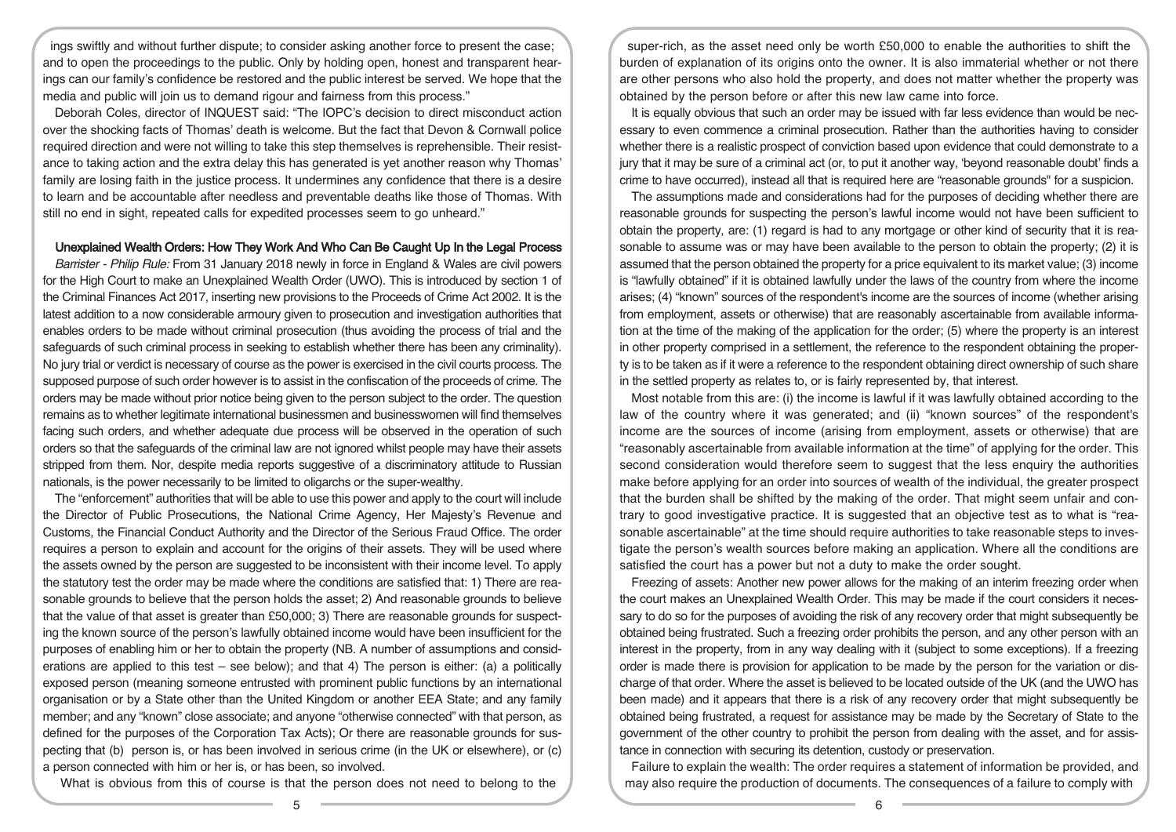ings swiftly and without further dispute; to consider asking another force to present the case; and to open the proceedings to the public. Only by holding open, honest and transparent hearings can our family's confidence be restored and the public interest be served. We hope that the media and public will join us to demand rigour and fairness from this process."

Deborah Coles, director of INQUEST said: "The IOPC's decision to direct misconduct action over the shocking facts of Thomas' death is welcome. But the fact that Devon & Cornwall police required direction and were not willing to take this step themselves is reprehensible. Their resistance to taking action and the extra delay this has generated is yet another reason why Thomas' family are losing faith in the justice process. It undermines any confidence that there is a desire to learn and be accountable after needless and preventable deaths like those of Thomas. With still no end in sight, repeated calls for expedited processes seem to go unheard."

# Unexplained Wealth Orders: How They Work And Who Can Be Caught Up In the Legal Process

Barrister - Philip Rule: From 31 January 2018 newly in force in England & Wales are civil powers for the High Court to make an Unexplained Wealth Order (UWO). This is introduced by section 1 of the Criminal Finances Act 2017, inserting new provisions to the Proceeds of Crime Act 2002. It is the latest addition to a now considerable armoury given to prosecution and investigation authorities that enables orders to be made without criminal prosecution (thus avoiding the process of trial and the safeguards of such criminal process in seeking to establish whether there has been any criminality). No jury trial or verdict is necessary of course as the power is exercised in the civil courts process. The supposed purpose of such order however is to assist in the confiscation of the proceeds of crime. The orders may be made without prior notice being given to the person subject to the order. The question remains as to whether legitimate international businessmen and businesswomen will find themselves facing such orders, and whether adequate due process will be observed in the operation of such orders so that the safeguards of the criminal law are not ignored whilst people may have their assets stripped from them. Nor, despite media reports suggestive of a discriminatory attitude to Russian nationals, is the power necessarily to be limited to oligarchs or the super-wealthy.

The "enforcement" authorities that will be able to use this power and apply to the court will include the Director of Public Prosecutions, the National Crime Agency, Her Majesty's Revenue and Customs, the Financial Conduct Authority and the Director of the Serious Fraud Office. The order requires a person to explain and account for the origins of their assets. They will be used where the assets owned by the person are suggested to be inconsistent with their income level. To apply the statutory test the order may be made where the conditions are satisfied that: 1) There are reasonable grounds to believe that the person holds the asset; 2) And reasonable grounds to believe that the value of that asset is greater than £50,000; 3) There are reasonable grounds for suspecting the known source of the person's lawfully obtained income would have been insufficient for the purposes of enabling him or her to obtain the property (NB. A number of assumptions and considerations are applied to this test – see below); and that 4) The person is either: (a) a politically exposed person (meaning someone entrusted with prominent public functions by an international organisation or by a State other than the United Kingdom or another EEA State; and any family member; and any "known" close associate; and anyone "otherwise connected" with that person, as defined for the purposes of the Corporation Tax Acts); Or there are reasonable grounds for suspecting that (b) person is, or has been involved in serious crime (in the UK or elsewhere), or (c) a person connected with him or her is, or has been, so involved.

What is obvious from this of course is that the person does not need to belong to the

super-rich, as the asset need only be worth £50,000 to enable the authorities to shift the burden of explanation of its origins onto the owner. It is also immaterial whether or not there are other persons who also hold the property, and does not matter whether the property was obtained by the person before or after this new law came into force.

It is equally obvious that such an order may be issued with far less evidence than would be necessary to even commence a criminal prosecution. Rather than the authorities having to consider whether there is a realistic prospect of conviction based upon evidence that could demonstrate to a jury that it may be sure of a criminal act (or, to put it another way, 'beyond reasonable doubt' finds a crime to have occurred), instead all that is required here are "reasonable grounds" for a suspicion.

The assumptions made and considerations had for the purposes of deciding whether there are reasonable grounds for suspecting the person's lawful income would not have been sufficient to obtain the property, are: (1) regard is had to any mortgage or other kind of security that it is reasonable to assume was or may have been available to the person to obtain the property; (2) it is assumed that the person obtained the property for a price equivalent to its market value; (3) income is "lawfully obtained" if it is obtained lawfully under the laws of the country from where the income arises; (4) "known" sources of the respondent's income are the sources of income (whether arising from employment, assets or otherwise) that are reasonably ascertainable from available information at the time of the making of the application for the order; (5) where the property is an interest in other property comprised in a settlement, the reference to the respondent obtaining the property is to be taken as if it were a reference to the respondent obtaining direct ownership of such share in the settled property as relates to, or is fairly represented by, that interest.

Most notable from this are: (i) the income is lawful if it was lawfully obtained according to the law of the country where it was generated; and (ii) "known sources" of the respondent's income are the sources of income (arising from employment, assets or otherwise) that are "reasonably ascertainable from available information at the time" of applying for the order. This second consideration would therefore seem to suggest that the less enquiry the authorities make before applying for an order into sources of wealth of the individual, the greater prospect that the burden shall be shifted by the making of the order. That might seem unfair and contrary to good investigative practice. It is suggested that an objective test as to what is "reasonable ascertainable" at the time should require authorities to take reasonable steps to investigate the person's wealth sources before making an application. Where all the conditions are satisfied the court has a power but not a duty to make the order sought.

Freezing of assets: Another new power allows for the making of an interim freezing order when the court makes an Unexplained Wealth Order. This may be made if the court considers it necessary to do so for the purposes of avoiding the risk of any recovery order that might subsequently be obtained being frustrated. Such a freezing order prohibits the person, and any other person with an interest in the property, from in any way dealing with it (subject to some exceptions). If a freezing order is made there is provision for application to be made by the person for the variation or discharge of that order. Where the asset is believed to be located outside of the UK (and the UWO has been made) and it appears that there is a risk of any recovery order that might subsequently be obtained being frustrated, a request for assistance may be made by the Secretary of State to the government of the other country to prohibit the person from dealing with the asset, and for assistance in connection with securing its detention, custody or preservation.

Failure to explain the wealth: The order requires a statement of information be provided, and may also require the production of documents. The consequences of a failure to comply with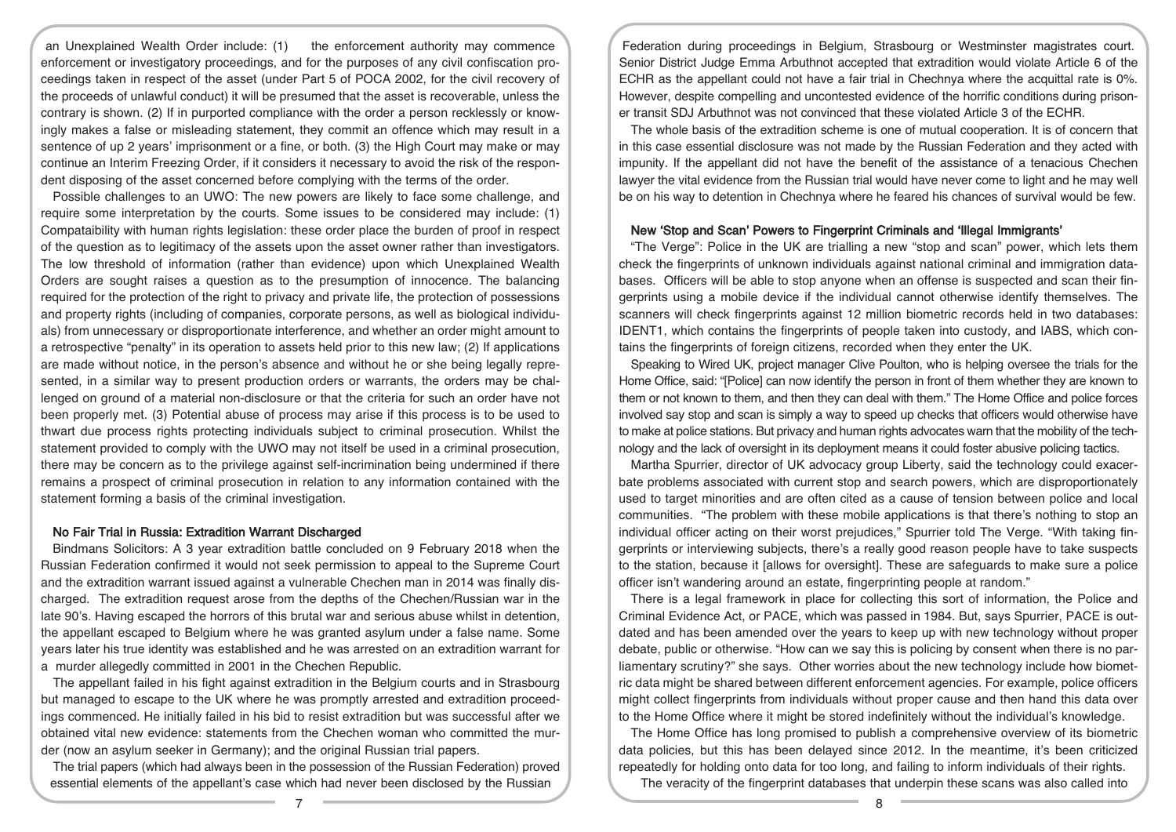an Unexplained Wealth Order include: (1) the enforcement authority may commence enforcement or investigatory proceedings, and for the purposes of any civil confiscation proceedings taken in respect of the asset (under Part 5 of POCA 2002, for the civil recovery of the proceeds of unlawful conduct) it will be presumed that the asset is recoverable, unless the contrary is shown. (2) If in purported compliance with the order a person recklessly or knowingly makes a false or misleading statement, they commit an offence which may result in a sentence of up 2 years' imprisonment or a fine, or both. (3) the High Court may make or may continue an Interim Freezing Order, if it considers it necessary to avoid the risk of the respondent disposing of the asset concerned before complying with the terms of the order.

Possible challenges to an UWO: The new powers are likely to face some challenge, and require some interpretation by the courts. Some issues to be considered may include: (1) Compataibility with human rights legislation: these order place the burden of proof in respect of the question as to legitimacy of the assets upon the asset owner rather than investigators. The low threshold of information (rather than evidence) upon which Unexplained Wealth Orders are sought raises a question as to the presumption of innocence. The balancing required for the protection of the right to privacy and private life, the protection of possessions and property rights (including of companies, corporate persons, as well as biological individuals) from unnecessary or disproportionate interference, and whether an order might amount to a retrospective "penalty" in its operation to assets held prior to this new law; (2) If applications are made without notice, in the person's absence and without he or she being legally represented, in a similar way to present production orders or warrants, the orders may be challenged on ground of a material non-disclosure or that the criteria for such an order have not been properly met. (3) Potential abuse of process may arise if this process is to be used to thwart due process rights protecting individuals subject to criminal prosecution. Whilst the statement provided to comply with the UWO may not itself be used in a criminal prosecution, there may be concern as to the privilege against self-incrimination being undermined if there remains a prospect of criminal prosecution in relation to any information contained with the statement forming a basis of the criminal investigation.

## No Fair Trial in Russia: Extradition Warrant Discharged

Bindmans Solicitors: A 3 year extradition battle concluded on 9 February 2018 when the Russian Federation confirmed it would not seek permission to appeal to the Supreme Court and the extradition warrant issued against a vulnerable Chechen man in 2014 was finally discharged. The extradition request arose from the depths of the Chechen/Russian war in the late 90's. Having escaped the horrors of this brutal war and serious abuse whilst in detention, the appellant escaped to Belgium where he was granted asylum under a false name. Some years later his true identity was established and he was arrested on an extradition warrant for a murder allegedly committed in 2001 in the Chechen Republic.

The appellant failed in his fight against extradition in the Belgium courts and in Strasbourg but managed to escape to the UK where he was promptly arrested and extradition proceedings commenced. He initially failed in his bid to resist extradition but was successful after we obtained vital new evidence: statements from the Chechen woman who committed the murder (now an asylum seeker in Germany); and the original Russian trial papers.

The trial papers (which had always been in the possession of the Russian Federation) proved essential elements of the appellant's case which had never been disclosed by the Russian

Federation during proceedings in Belgium, Strasbourg or Westminster magistrates court. Senior District Judge Emma Arbuthnot accepted that extradition would violate Article 6 of the ECHR as the appellant could not have a fair trial in Chechnya where the acquittal rate is 0%. However, despite compelling and uncontested evidence of the horrific conditions during prisoner transit SDJ Arbuthnot was not convinced that these violated Article 3 of the ECHR.

The whole basis of the extradition scheme is one of mutual cooperation. It is of concern that in this case essential disclosure was not made by the Russian Federation and they acted with impunity. If the appellant did not have the benefit of the assistance of a tenacious Chechen lawyer the vital evidence from the Russian trial would have never come to light and he may well be on his way to detention in Chechnya where he feared his chances of survival would be few.

#### New 'Stop and Scan' Powers to Fingerprint Criminals and 'Illegal Immigrants'

"The Verge": Police in the UK are trialling a new "stop and scan" power, which lets them check the fingerprints of unknown individuals against national criminal and immigration databases. Officers will be able to stop anyone when an offense is suspected and scan their fingerprints using a mobile device if the individual cannot otherwise identify themselves. The scanners will check fingerprints against 12 million biometric records held in two databases: IDENT1, which contains the fingerprints of people taken into custody, and IABS, which contains the fingerprints of foreign citizens, recorded when they enter the UK.

Speaking to Wired UK, project manager Clive Poulton, who is helping oversee the trials for the Home Office, said: "[Police] can now identify the person in front of them whether they are known to them or not known to them, and then they can deal with them." The Home Office and police forces involved say stop and scan is simply a way to speed up checks that officers would otherwise have to make at police stations. But privacy and human rights advocates warn that the mobility of the technology and the lack of oversight in its deployment means it could foster abusive policing tactics.

Martha Spurrier, director of UK advocacy group Liberty, said the technology could exacerbate problems associated with current stop and search powers, which are disproportionately used to target minorities and are often cited as a cause of tension between police and local communities. "The problem with these mobile applications is that there's nothing to stop an individual officer acting on their worst prejudices," Spurrier told The Verge. "With taking fingerprints or interviewing subjects, there's a really good reason people have to take suspects to the station, because it [allows for oversight]. These are safeguards to make sure a police officer isn't wandering around an estate, fingerprinting people at random."

There is a legal framework in place for collecting this sort of information, the Police and Criminal Evidence Act, or PACE, which was passed in 1984. But, says Spurrier, PACE is outdated and has been amended over the years to keep up with new technology without proper debate, public or otherwise. "How can we say this is policing by consent when there is no parliamentary scrutiny?" she says. Other worries about the new technology include how biometric data might be shared between different enforcement agencies. For example, police officers might collect fingerprints from individuals without proper cause and then hand this data over to the Home Office where it might be stored indefinitely without the individual's knowledge.

The Home Office has long promised to publish a comprehensive overview of its biometric data policies, but this has been delayed since 2012. In the meantime, it's been criticized repeatedly for holding onto data for too long, and failing to inform individuals of their rights.

The veracity of the fingerprint databases that underpin these scans was also called into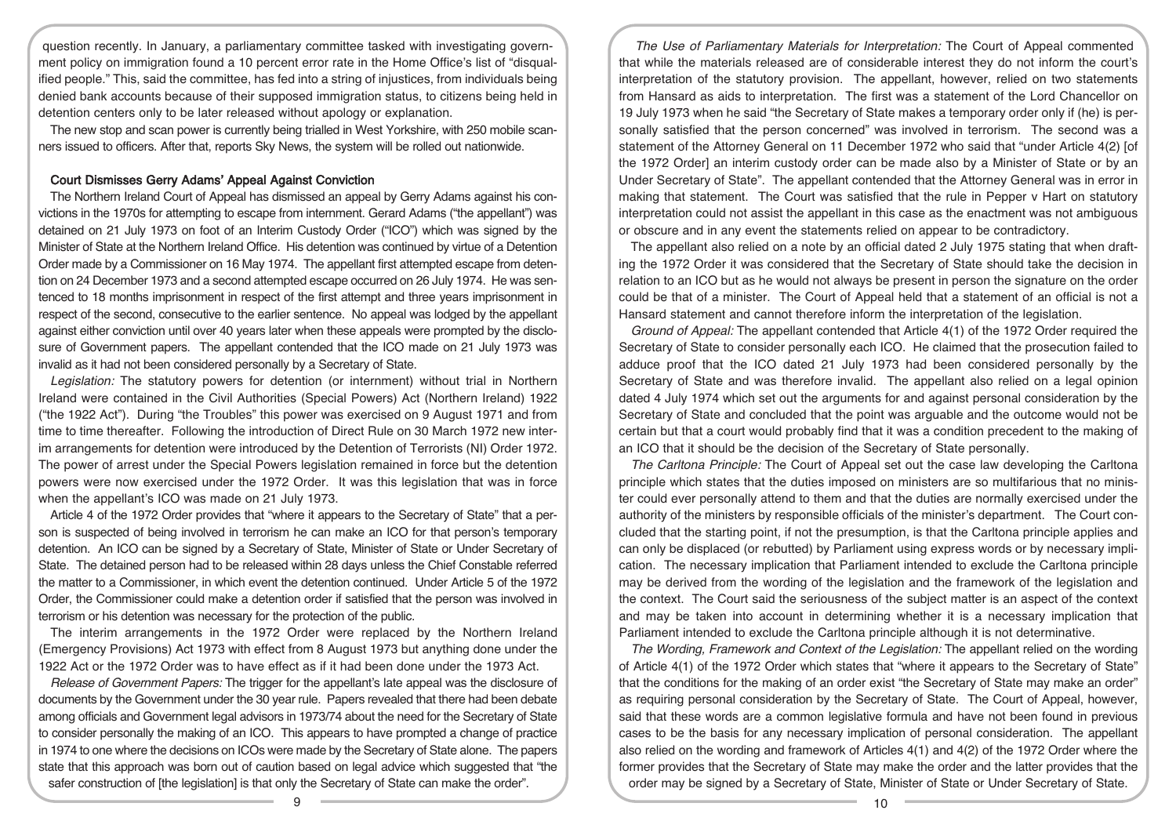question recently. In January, a parliamentary committee tasked with investigating government policy on immigration found a 10 percent error rate in the Home Office's list of "disqualified people." This, said the committee, has fed into a string of injustices, from individuals being denied bank accounts because of their supposed immigration status, to citizens being held in detention centers only to be later released without apology or explanation.

The new stop and scan power is currently being trialled in West Yorkshire, with 250 mobile scanners issued to officers. After that, reports Sky News, the system will be rolled out nationwide.

## Court Dismisses Gerry Adams' Appeal Against Conviction

The Northern Ireland Court of Appeal has dismissed an appeal by Gerry Adams against his convictions in the 1970s for attempting to escape from internment. Gerard Adams ("the appellant") was detained on 21 July 1973 on foot of an Interim Custody Order ("ICO") which was signed by the Minister of State at the Northern Ireland Office. His detention was continued by virtue of a Detention Order made by a Commissioner on 16 May 1974. The appellant first attempted escape from detention on 24 December 1973 and a second attempted escape occurred on 26 July 1974. He was sentenced to 18 months imprisonment in respect of the first attempt and three years imprisonment in respect of the second, consecutive to the earlier sentence. No appeal was lodged by the appellant against either conviction until over 40 years later when these appeals were prompted by the disclosure of Government papers. The appellant contended that the ICO made on 21 July 1973 was invalid as it had not been considered personally by a Secretary of State.

Legislation: The statutory powers for detention (or internment) without trial in Northern Ireland were contained in the Civil Authorities (Special Powers) Act (Northern Ireland) 1922 ("the 1922 Act"). During "the Troubles" this power was exercised on 9 August 1971 and from time to time thereafter. Following the introduction of Direct Rule on 30 March 1972 new interim arrangements for detention were introduced by the Detention of Terrorists (NI) Order 1972. The power of arrest under the Special Powers legislation remained in force but the detention powers were now exercised under the 1972 Order. It was this legislation that was in force when the appellant's ICO was made on 21 July 1973.

Article 4 of the 1972 Order provides that "where it appears to the Secretary of State" that a person is suspected of being involved in terrorism he can make an ICO for that person's temporary detention. An ICO can be signed by a Secretary of State, Minister of State or Under Secretary of State. The detained person had to be released within 28 days unless the Chief Constable referred the matter to a Commissioner, in which event the detention continued. Under Article 5 of the 1972 Order, the Commissioner could make a detention order if satisfied that the person was involved in terrorism or his detention was necessary for the protection of the public.

The interim arrangements in the 1972 Order were replaced by the Northern Ireland (Emergency Provisions) Act 1973 with effect from 8 August 1973 but anything done under the 1922 Act or the 1972 Order was to have effect as if it had been done under the 1973 Act.

Release of Government Papers: The trigger for the appellant's late appeal was the disclosure of documents by the Government under the 30 year rule. Papers revealed that there had been debate among officials and Government legal advisors in 1973/74 about the need for the Secretary of State to consider personally the making of an ICO. This appears to have prompted a change of practice in 1974 to one where the decisions on ICOs were made by the Secretary of State alone. The papers state that this approach was born out of caution based on legal advice which suggested that "the safer construction of [the legislation] is that only the Secretary of State can make the order".

The Use of Parliamentary Materials for Interpretation: The Court of Appeal commented that while the materials released are of considerable interest they do not inform the court's interpretation of the statutory provision. The appellant, however, relied on two statements from Hansard as aids to interpretation. The first was a statement of the Lord Chancellor on 19 July 1973 when he said "the Secretary of State makes a temporary order only if (he) is personally satisfied that the person concerned" was involved in terrorism. The second was a statement of the Attorney General on 11 December 1972 who said that "under Article 4(2) [of the 1972 Order] an interim custody order can be made also by a Minister of State or by an Under Secretary of State". The appellant contended that the Attorney General was in error in making that statement. The Court was satisfied that the rule in Pepper v Hart on statutory interpretation could not assist the appellant in this case as the enactment was not ambiguous or obscure and in any event the statements relied on appear to be contradictory.

The appellant also relied on a note by an official dated 2 July 1975 stating that when drafting the 1972 Order it was considered that the Secretary of State should take the decision in relation to an ICO but as he would not always be present in person the signature on the order could be that of a minister. The Court of Appeal held that a statement of an official is not a Hansard statement and cannot therefore inform the interpretation of the legislation.

Ground of Appeal: The appellant contended that Article 4(1) of the 1972 Order required the Secretary of State to consider personally each ICO. He claimed that the prosecution failed to adduce proof that the ICO dated 21 July 1973 had been considered personally by the Secretary of State and was therefore invalid. The appellant also relied on a legal opinion dated 4 July 1974 which set out the arguments for and against personal consideration by the Secretary of State and concluded that the point was arguable and the outcome would not be certain but that a court would probably find that it was a condition precedent to the making of an ICO that it should be the decision of the Secretary of State personally.

The Carltona Principle: The Court of Appeal set out the case law developing the Carltona principle which states that the duties imposed on ministers are so multifarious that no minister could ever personally attend to them and that the duties are normally exercised under the authority of the ministers by responsible officials of the minister's department. The Court concluded that the starting point, if not the presumption, is that the Carltona principle applies and can only be displaced (or rebutted) by Parliament using express words or by necessary implication. The necessary implication that Parliament intended to exclude the Carltona principle may be derived from the wording of the legislation and the framework of the legislation and the context. The Court said the seriousness of the subject matter is an aspect of the context and may be taken into account in determining whether it is a necessary implication that Parliament intended to exclude the Carltona principle although it is not determinative.

The Wording, Framework and Context of the Legislation: The appellant relied on the wording of Article 4(1) of the 1972 Order which states that "where it appears to the Secretary of State" that the conditions for the making of an order exist "the Secretary of State may make an order" as requiring personal consideration by the Secretary of State. The Court of Appeal, however, said that these words are a common legislative formula and have not been found in previous cases to be the basis for any necessary implication of personal consideration. The appellant also relied on the wording and framework of Articles 4(1) and 4(2) of the 1972 Order where the former provides that the Secretary of State may make the order and the latter provides that the order may be signed by a Secretary of State, Minister of State or Under Secretary of State.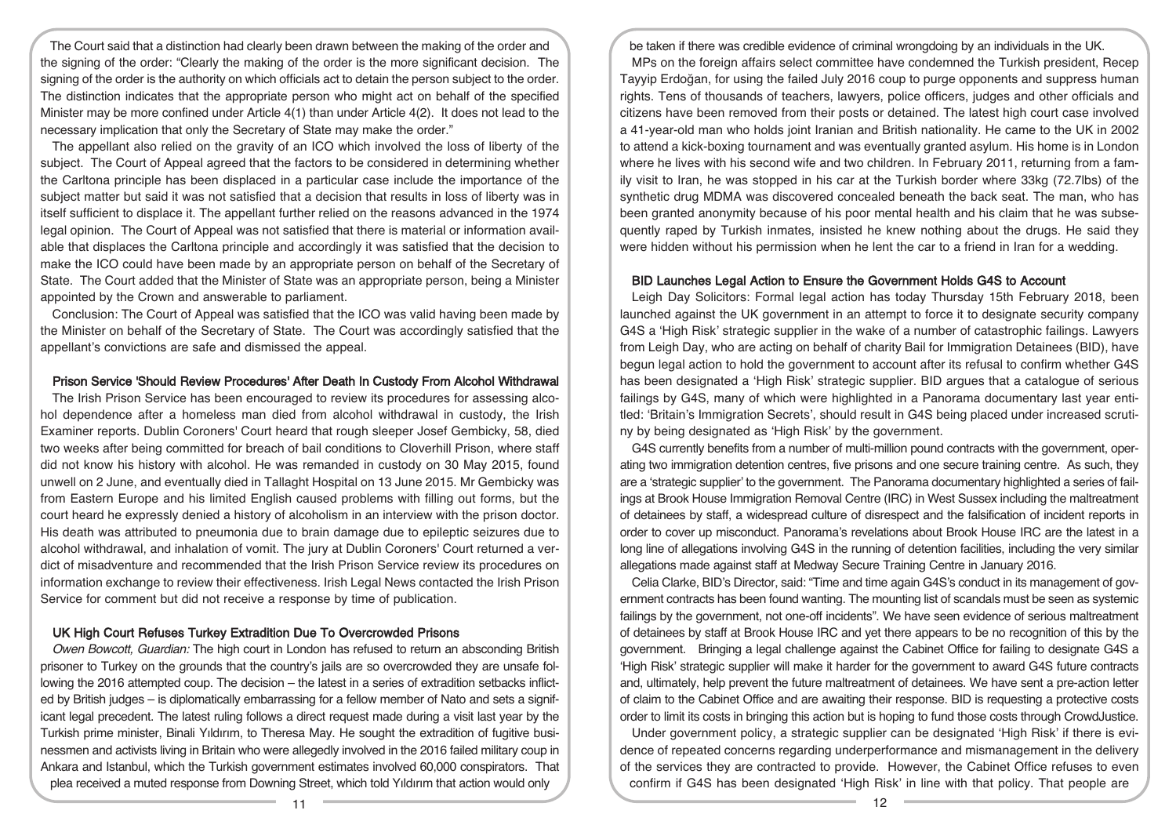The Court said that a distinction had clearly been drawn between the making of the order and the signing of the order: "Clearly the making of the order is the more significant decision. The signing of the order is the authority on which officials act to detain the person subject to the order. The distinction indicates that the appropriate person who might act on behalf of the specified Minister may be more confined under Article 4(1) than under Article 4(2). It does not lead to the necessary implication that only the Secretary of State may make the order."

The appellant also relied on the gravity of an ICO which involved the loss of liberty of the subject. The Court of Appeal agreed that the factors to be considered in determining whether the Carltona principle has been displaced in a particular case include the importance of the subject matter but said it was not satisfied that a decision that results in loss of liberty was in itself sufficient to displace it. The appellant further relied on the reasons advanced in the 1974 legal opinion. The Court of Appeal was not satisfied that there is material or information available that displaces the Carltona principle and accordingly it was satisfied that the decision to make the ICO could have been made by an appropriate person on behalf of the Secretary of State. The Court added that the Minister of State was an appropriate person, being a Minister appointed by the Crown and answerable to parliament.

Conclusion: The Court of Appeal was satisfied that the ICO was valid having been made by the Minister on behalf of the Secretary of State. The Court was accordingly satisfied that the appellant's convictions are safe and dismissed the appeal.

#### Prison Service 'Should Review Procedures' After Death In Custody From Alcohol Withdrawal

The Irish Prison Service has been encouraged to review its procedures for assessing alcohol dependence after a homeless man died from alcohol withdrawal in custody, the Irish Examiner reports. Dublin Coroners' Court heard that rough sleeper Josef Gembicky, 58, died two weeks after being committed for breach of bail conditions to Cloverhill Prison, where staff did not know his history with alcohol. He was remanded in custody on 30 May 2015, found unwell on 2 June, and eventually died in Tallaght Hospital on 13 June 2015. Mr Gembicky was from Eastern Europe and his limited English caused problems with filling out forms, but the court heard he expressly denied a history of alcoholism in an interview with the prison doctor. His death was attributed to pneumonia due to brain damage due to epileptic seizures due to alcohol withdrawal, and inhalation of vomit. The jury at Dublin Coroners' Court returned a verdict of misadventure and recommended that the Irish Prison Service review its procedures on information exchange to review their effectiveness. Irish Legal News contacted the Irish Prison Service for comment but did not receive a response by time of publication.

## UK High Court Refuses Turkey Extradition Due To Overcrowded Prisons

Owen Bowcott, Guardian: The high court in London has refused to return an absconding British prisoner to Turkey on the grounds that the country's jails are so overcrowded they are unsafe following the 2016 attempted coup. The decision – the latest in a series of extradition setbacks inflicted by British judges – is diplomatically embarrassing for a fellow member of Nato and sets a significant legal precedent. The latest ruling follows a direct request made during a visit last year by the Turkish prime minister, Binali Yıldırım, to Theresa May. He sought the extradition of fugitive businessmen and activists living in Britain who were allegedly involved in the 2016 failed military coup in Ankara and Istanbul, which the Turkish government estimates involved 60,000 conspirators. That plea received a muted response from Downing Street, which told Yıldırım that action would only

be taken if there was credible evidence of criminal wrongdoing by an individuals in the UK. MPs on the foreign affairs select committee have condemned the Turkish president, Recep Tayyip Erdoğan, for using the failed July 2016 coup to purge opponents and suppress human rights. Tens of thousands of teachers, lawyers, police officers, judges and other officials and citizens have been removed from their posts or detained. The latest high court case involved a 41-year-old man who holds joint Iranian and British nationality. He came to the UK in 2002 to attend a kick-boxing tournament and was eventually granted asylum. His home is in London where he lives with his second wife and two children. In February 2011, returning from a family visit to Iran, he was stopped in his car at the Turkish border where 33kg (72.7lbs) of the synthetic drug MDMA was discovered concealed beneath the back seat. The man, who has been granted anonymity because of his poor mental health and his claim that he was subsequently raped by Turkish inmates, insisted he knew nothing about the drugs. He said they were hidden without his permission when he lent the car to a friend in Iran for a wedding.

#### BID Launches Legal Action to Ensure the Government Holds G4S to Account

Leigh Day Solicitors: Formal legal action has today Thursday 15th February 2018, been launched against the UK government in an attempt to force it to designate security company G4S a 'High Risk' strategic supplier in the wake of a number of catastrophic failings. Lawyers from Leigh Day, who are acting on behalf of charity Bail for Immigration Detainees (BID), have begun legal action to hold the government to account after its refusal to confirm whether G4S has been designated a 'High Risk' strategic supplier. BID argues that a catalogue of serious failings by G4S, many of which were highlighted in a Panorama documentary last year entitled: 'Britain's Immigration Secrets', should result in G4S being placed under increased scrutiny by being designated as 'High Risk' by the government.

G4S currently benefits from a number of multi-million pound contracts with the government, operating two immigration detention centres, five prisons and one secure training centre. As such, they are a 'strategic supplier' to the government. The Panorama documentary highlighted a series of failings at Brook House Immigration Removal Centre (IRC) in West Sussex including the maltreatment of detainees by staff, a widespread culture of disrespect and the falsification of incident reports in order to cover up misconduct. Panorama's revelations about Brook House IRC are the latest in a long line of allegations involving G4S in the running of detention facilities, including the very similar allegations made against staff at Medway Secure Training Centre in January 2016.

Celia Clarke, BID's Director, said: "Time and time again G4S's conduct in its management of government contracts has been found wanting. The mounting list of scandals must be seen as systemic failings by the government, not one-off incidents". We have seen evidence of serious maltreatment of detainees by staff at Brook House IRC and yet there appears to be no recognition of this by the government. Bringing a legal challenge against the Cabinet Office for failing to designate G4S a 'High Risk' strategic supplier will make it harder for the government to award G4S future contracts and, ultimately, help prevent the future maltreatment of detainees. We have sent a pre-action letter of claim to the Cabinet Office and are awaiting their response. BID is requesting a protective costs order to limit its costs in bringing this action but is hoping to fund those costs through CrowdJustice.

Under government policy, a strategic supplier can be designated 'High Risk' if there is evidence of repeated concerns regarding underperformance and mismanagement in the delivery of the services they are contracted to provide. However, the Cabinet Office refuses to even confirm if G4S has been designated 'High Risk' in line with that policy. That people are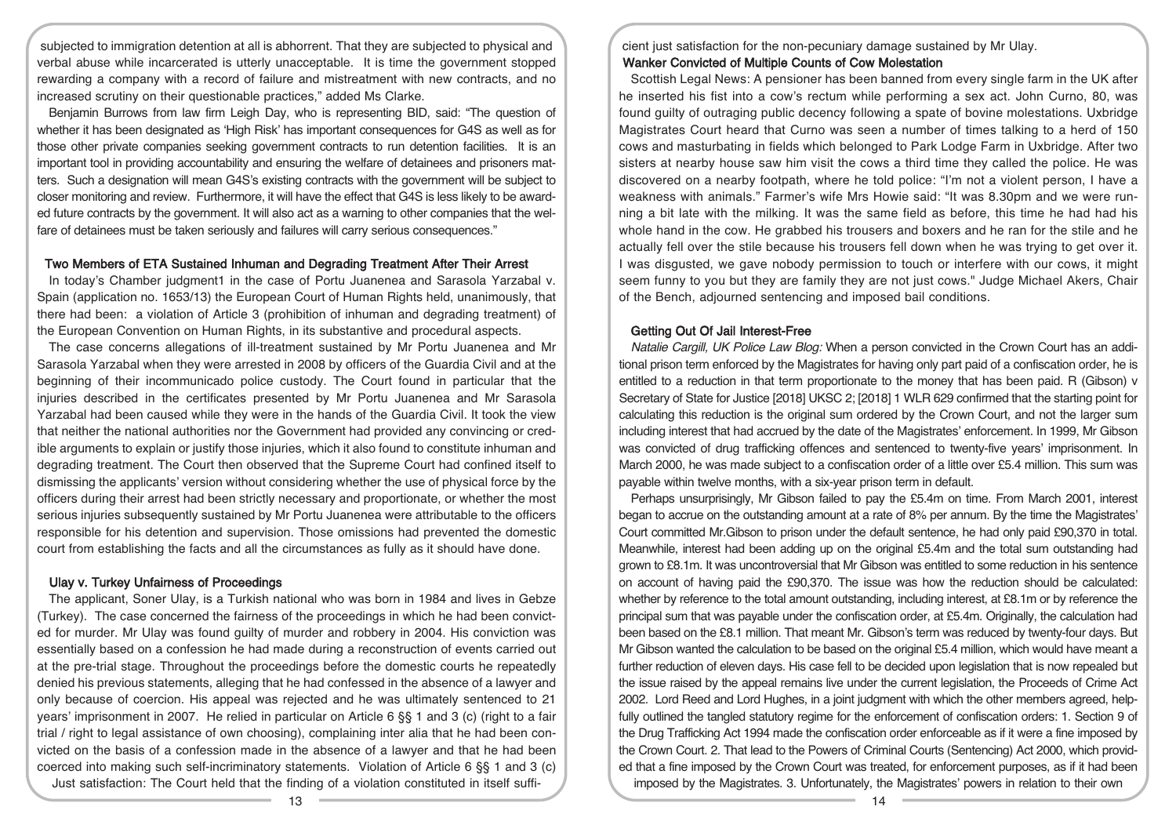subjected to immigration detention at all is abhorrent. That they are subjected to physical and verbal abuse while incarcerated is utterly unacceptable. It is time the government stopped rewarding a company with a record of failure and mistreatment with new contracts, and no increased scrutiny on their questionable practices," added Ms Clarke.

Benjamin Burrows from law firm Leigh Day, who is representing BID, said: "The question of whether it has been designated as 'High Risk' has important consequences for G4S as well as for those other private companies seeking government contracts to run detention facilities. It is an important tool in providing accountability and ensuring the welfare of detainees and prisoners matters. Such a designation will mean G4S's existing contracts with the government will be subject to closer monitoring and review. Furthermore, it will have the effect that G4S is less likely to be awarded future contracts by the government. It will also act as a warning to other companies that the welfare of detainees must be taken seriously and failures will carry serious consequences."

## Two Members of ETA Sustained Inhuman and Degrading Treatment After Their Arrest

In today's Chamber judgment1 in the case of Portu Juanenea and Sarasola Yarzabal v. Spain (application no. 1653/13) the European Court of Human Rights held, unanimously, that there had been: a violation of Article 3 (prohibition of inhuman and degrading treatment) of the European Convention on Human Rights, in its substantive and procedural aspects.

The case concerns allegations of ill-treatment sustained by Mr Portu Juanenea and Mr Sarasola Yarzabal when they were arrested in 2008 by officers of the Guardia Civil and at the beginning of their incommunicado police custody. The Court found in particular that the injuries described in the certificates presented by Mr Portu Juanenea and Mr Sarasola Yarzabal had been caused while they were in the hands of the Guardia Civil. It took the view that neither the national authorities nor the Government had provided any convincing or credible arguments to explain or justify those injuries, which it also found to constitute inhuman and degrading treatment. The Court then observed that the Supreme Court had confined itself to dismissing the applicants' version without considering whether the use of physical force by the officers during their arrest had been strictly necessary and proportionate, or whether the most serious injuries subsequently sustained by Mr Portu Juanenea were attributable to the officers responsible for his detention and supervision. Those omissions had prevented the domestic court from establishing the facts and all the circumstances as fully as it should have done.

#### Ulay v. Turkey Unfairness of Proceedings

The applicant, Soner Ulay, is a Turkish national who was born in 1984 and lives in Gebze (Turkey). The case concerned the fairness of the proceedings in which he had been convicted for murder. Mr Ulay was found guilty of murder and robbery in 2004. His conviction was essentially based on a confession he had made during a reconstruction of events carried out at the pre-trial stage. Throughout the proceedings before the domestic courts he repeatedly denied his previous statements, alleging that he had confessed in the absence of a lawyer and only because of coercion. His appeal was rejected and he was ultimately sentenced to 21 years' imprisonment in 2007. He relied in particular on Article 6 §§ 1 and 3 (c) (right to a fair trial / right to legal assistance of own choosing), complaining inter alia that he had been convicted on the basis of a confession made in the absence of a lawyer and that he had been coerced into making such self-incriminatory statements. Violation of Article 6 §§ 1 and 3 (c) Just satisfaction: The Court held that the finding of a violation constituted in itself suffi-

cient just satisfaction for the non-pecuniary damage sustained by Mr Ulay. Wanker Convicted of Multiple Counts of Cow Molestation

Scottish Legal News: A pensioner has been banned from every single farm in the UK after he inserted his fist into a cow's rectum while performing a sex act. John Curno, 80, was found guilty of outraging public decency following a spate of bovine molestations. Uxbridge Magistrates Court heard that Curno was seen a number of times talking to a herd of 150 cows and masturbating in fields which belonged to Park Lodge Farm in Uxbridge. After two sisters at nearby house saw him visit the cows a third time they called the police. He was discovered on a nearby footpath, where he told police: "I'm not a violent person, I have a weakness with animals." Farmer's wife Mrs Howie said: "It was 8.30pm and we were running a bit late with the milking. It was the same field as before, this time he had had his whole hand in the cow. He grabbed his trousers and boxers and he ran for the stile and he actually fell over the stile because his trousers fell down when he was trying to get over it. I was disgusted, we gave nobody permission to touch or interfere with our cows, it might seem funny to you but they are family they are not just cows." Judge Michael Akers, Chair of the Bench, adjourned sentencing and imposed bail conditions.

#### Getting Out Of Jail Interest-Free

Natalie Cargill, UK Police Law Blog: When a person convicted in the Crown Court has an additional prison term enforced by the Magistrates for having only part paid of a confiscation order, he is entitled to a reduction in that term proportionate to the money that has been paid. R (Gibson) v Secretary of State for Justice [2018] UKSC 2; [2018] 1 WLR 629 confirmed that the starting point for calculating this reduction is the original sum ordered by the Crown Court, and not the larger sum including interest that had accrued by the date of the Magistrates' enforcement. In 1999, Mr Gibson was convicted of drug trafficking offences and sentenced to twenty-five years' imprisonment. In March 2000, he was made subject to a confiscation order of a little over £5.4 million. This sum was payable within twelve months, with a six-year prison term in default.

Perhaps unsurprisingly, Mr Gibson failed to pay the £5.4m on time. From March 2001, interest began to accrue on the outstanding amount at a rate of 8% per annum. By the time the Magistrates' Court committed Mr.Gibson to prison under the default sentence, he had only paid £90,370 in total. Meanwhile, interest had been adding up on the original £5.4m and the total sum outstanding had grown to £8.1m. It was uncontroversial that Mr Gibson was entitled to some reduction in his sentence on account of having paid the £90,370. The issue was how the reduction should be calculated: whether by reference to the total amount outstanding, including interest, at £8.1m or by reference the principal sum that was payable under the confiscation order, at £5.4m. Originally, the calculation had been based on the £8.1 million. That meant Mr. Gibson's term was reduced by twenty-four days. But Mr Gibson wanted the calculation to be based on the original £5.4 million, which would have meant a further reduction of eleven days. His case fell to be decided upon legislation that is now repealed but the issue raised by the appeal remains live under the current legislation, the Proceeds of Crime Act 2002. Lord Reed and Lord Hughes, in a joint judgment with which the other members agreed, helpfully outlined the tangled statutory regime for the enforcement of confiscation orders: 1. Section 9 of the Drug Trafficking Act 1994 made the confiscation order enforceable as if it were a fine imposed by the Crown Court. 2. That lead to the Powers of Criminal Courts (Sentencing) Act 2000, which provided that a fine imposed by the Crown Court was treated, for enforcement purposes, as if it had been imposed by the Magistrates. 3. Unfortunately, the Magistrates' powers in relation to their own